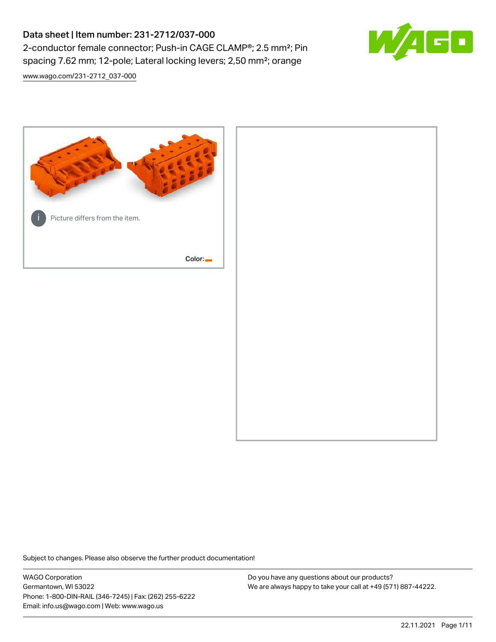# Data sheet | Item number: 231-2712/037-000 2-conductor female connector; Push-in CAGE CLAMP®; 2.5 mm²; Pin spacing 7.62 mm; 12-pole; Lateral locking levers; 2,50 mm²; orange

[www.wago.com/231-2712\\_037-000](http://www.wago.com/231-2712_037-000)



Subject to changes. Please also observe the further product documentation!

WAGO Corporation Germantown, WI 53022 Phone: 1-800-DIN-RAIL (346-7245) | Fax: (262) 255-6222 Email: info.us@wago.com | Web: www.wago.us

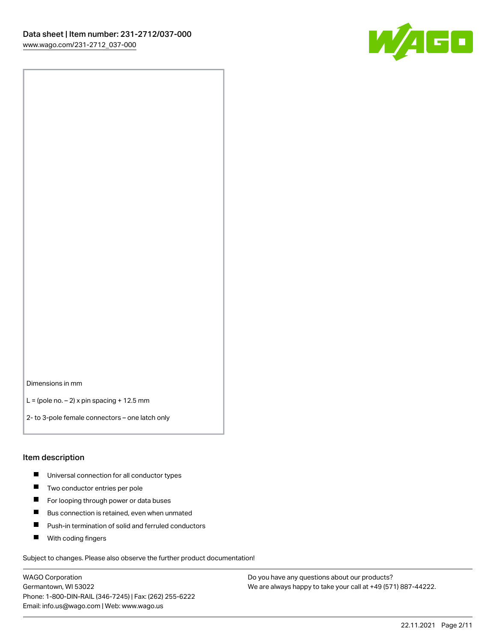

Dimensions in mm

 $L =$  (pole no.  $-2$ ) x pin spacing + 12.5 mm

2- to 3-pole female connectors – one latch only

#### Item description

- **Universal connection for all conductor types**
- **Two conductor entries per pole**
- $\blacksquare$ For looping through power or data buses
- $\blacksquare$ Bus connection is retained, even when unmated
- $\blacksquare$ Push-in termination of solid and ferruled conductors
- $\blacksquare$ With coding fingers

Subject to changes. Please also observe the further product documentation!

WAGO Corporation Germantown, WI 53022 Phone: 1-800-DIN-RAIL (346-7245) | Fax: (262) 255-6222 Email: info.us@wago.com | Web: www.wago.us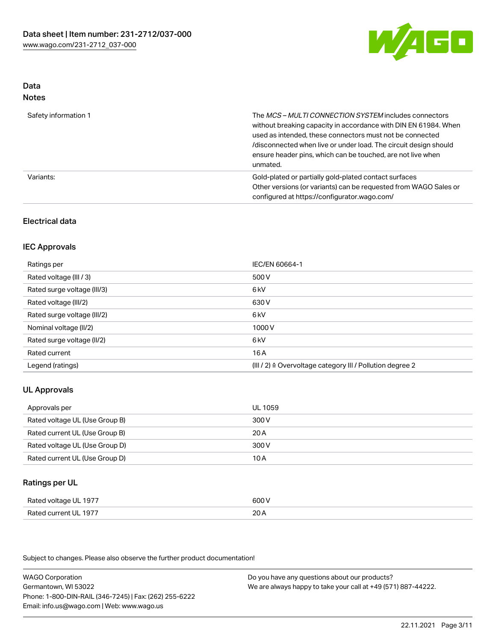

#### Data Notes

| .                    |                                                                                                                                                                                                                                                                                                                                   |
|----------------------|-----------------------------------------------------------------------------------------------------------------------------------------------------------------------------------------------------------------------------------------------------------------------------------------------------------------------------------|
| Safety information 1 | The MCS-MULTI CONNECTION SYSTEM includes connectors<br>without breaking capacity in accordance with DIN EN 61984. When<br>used as intended, these connectors must not be connected<br>/disconnected when live or under load. The circuit design should<br>ensure header pins, which can be touched, are not live when<br>unmated. |
| Variants:            | Gold-plated or partially gold-plated contact surfaces<br>Other versions (or variants) can be requested from WAGO Sales or<br>configured at https://configurator.wago.com/                                                                                                                                                         |

## Electrical data

## IEC Approvals

| Ratings per                 | IEC/EN 60664-1                                                        |
|-----------------------------|-----------------------------------------------------------------------|
| Rated voltage (III / 3)     | 500 V                                                                 |
| Rated surge voltage (III/3) | 6 <sub>k</sub> V                                                      |
| Rated voltage (III/2)       | 630 V                                                                 |
| Rated surge voltage (III/2) | 6 <sub>k</sub> V                                                      |
| Nominal voltage (II/2)      | 1000 V                                                                |
| Rated surge voltage (II/2)  | 6 kV                                                                  |
| Rated current               | 16 A                                                                  |
| Legend (ratings)            | $(III / 2)$ $\triangle$ Overvoltage category III / Pollution degree 2 |

## UL Approvals

| Approvals per                  | UL 1059 |
|--------------------------------|---------|
| Rated voltage UL (Use Group B) | 300 V   |
| Rated current UL (Use Group B) | 20 A    |
| Rated voltage UL (Use Group D) | 300 V   |
| Rated current UL (Use Group D) | 10 A    |

## Ratings per UL

| Rated voltage UL 1977 | 600 V |
|-----------------------|-------|
| Rated current UL 1977 | 20A   |

Subject to changes. Please also observe the further product documentation!

WAGO Corporation Germantown, WI 53022 Phone: 1-800-DIN-RAIL (346-7245) | Fax: (262) 255-6222 Email: info.us@wago.com | Web: www.wago.us Do you have any questions about our products? We are always happy to take your call at +49 (571) 887-44222.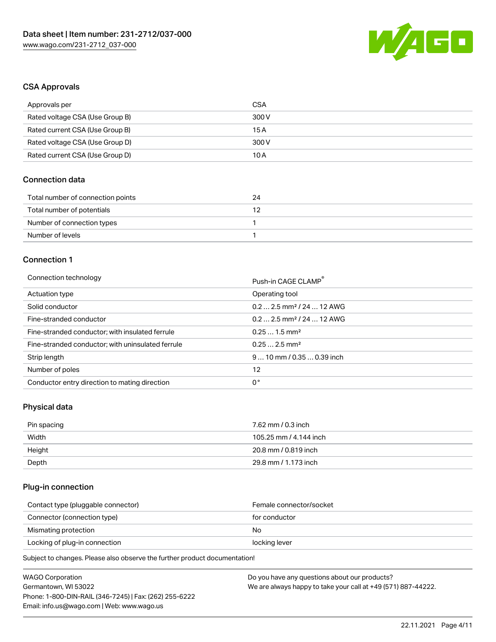

## CSA Approvals

| Approvals per                   | CSA   |
|---------------------------------|-------|
| Rated voltage CSA (Use Group B) | 300 V |
| Rated current CSA (Use Group B) | 15 A  |
| Rated voltage CSA (Use Group D) | 300 V |
| Rated current CSA (Use Group D) | 10 A  |

## Connection data

| Total number of connection points | 24 |
|-----------------------------------|----|
| Total number of potentials        |    |
| Number of connection types        |    |
| Number of levels                  |    |

## Connection 1

#### Connection technology **Push-in CAGE CLAMP<sup>®</sup>**

|                                                   | Push-in CAGE CLAMP                     |
|---------------------------------------------------|----------------------------------------|
| Actuation type                                    | Operating tool                         |
| Solid conductor                                   | $0.2$ 2.5 mm <sup>2</sup> / 24  12 AWG |
| Fine-stranded conductor                           | $0.2$ 2.5 mm <sup>2</sup> / 24  12 AWG |
| Fine-stranded conductor; with insulated ferrule   | $0.251.5$ mm <sup>2</sup>              |
| Fine-stranded conductor; with uninsulated ferrule | $0.252.5$ mm <sup>2</sup>              |
| Strip length                                      | $910$ mm / 0.35  0.39 inch             |
| Number of poles                                   | 12                                     |
| Conductor entry direction to mating direction     | 0°                                     |

## Physical data

| Pin spacing | 7.62 mm / 0.3 inch     |
|-------------|------------------------|
| Width       | 105.25 mm / 4.144 inch |
| Height      | 20.8 mm / 0.819 inch   |
| Depth       | 29.8 mm / 1.173 inch   |

## Plug-in connection

| Contact type (pluggable connector) | Female connector/socket |
|------------------------------------|-------------------------|
| Connector (connection type)        | for conductor           |
| Mismating protection               | No                      |
| Locking of plug-in connection      | locking lever           |
|                                    |                         |

Subject to changes. Please also observe the further product documentation!

| <b>WAGO Corporation</b>                                | Do you have any questions about our products?                 |
|--------------------------------------------------------|---------------------------------------------------------------|
| Germantown, WI 53022                                   | We are always happy to take your call at +49 (571) 887-44222. |
| Phone: 1-800-DIN-RAIL (346-7245)   Fax: (262) 255-6222 |                                                               |
| Email: info.us@wago.com   Web: www.wago.us             |                                                               |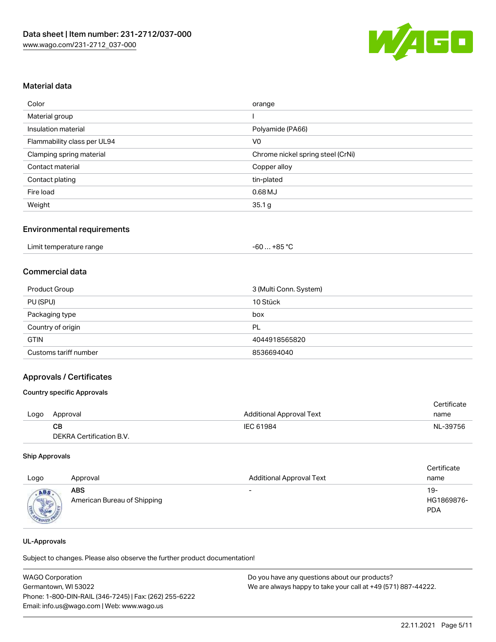

## Material data

| Color                       | orange                            |
|-----------------------------|-----------------------------------|
| Material group              |                                   |
| Insulation material         | Polyamide (PA66)                  |
| Flammability class per UL94 | V <sub>0</sub>                    |
| Clamping spring material    | Chrome nickel spring steel (CrNi) |
| Contact material            | Copper alloy                      |
| Contact plating             | tin-plated                        |
| Fire load                   | $0.68$ MJ                         |
| Weight                      | 35.1 g                            |

#### Environmental requirements

## Commercial data

| Product Group         | 3 (Multi Conn. System) |
|-----------------------|------------------------|
| PU (SPU)              | 10 Stück               |
| Packaging type        | box                    |
| Country of origin     | PL                     |
| <b>GTIN</b>           | 4044918565820          |
| Customs tariff number | 8536694040             |

## Approvals / Certificates

#### Country specific Approvals

|      |                          |                                 | Certificate |
|------|--------------------------|---------------------------------|-------------|
| Logo | Approval                 | <b>Additional Approval Text</b> | name        |
|      | CB.                      | IEC 61984                       | NL-39756    |
|      | DEKRA Certification B.V. |                                 |             |

#### Ship Approvals

| Logo | Approval                                  | <b>Additional Approval Text</b> | Certificate<br>name             |
|------|-------------------------------------------|---------------------------------|---------------------------------|
| ABS  | <b>ABS</b><br>American Bureau of Shipping | $\overline{\phantom{a}}$        | 19-<br>HG1869876-<br><b>PDA</b> |

#### UL-Approvals

Subject to changes. Please also observe the further product documentation!

| <b>WAGO Corporation</b>                                | Do you have any questions about our products?                 |  |
|--------------------------------------------------------|---------------------------------------------------------------|--|
| Germantown, WI 53022                                   | We are always happy to take your call at +49 (571) 887-44222. |  |
| Phone: 1-800-DIN-RAIL (346-7245)   Fax: (262) 255-6222 |                                                               |  |
| Email: info.us@wago.com   Web: www.wago.us             |                                                               |  |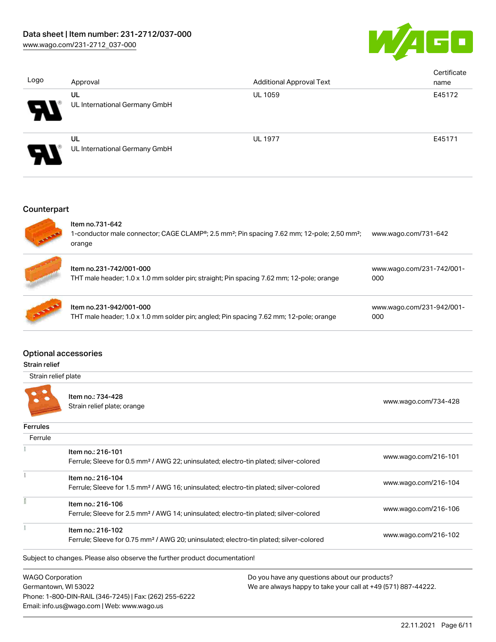

| Logo                       | Approval                            | <b>Additional Approval Text</b> | Certificate<br>name |
|----------------------------|-------------------------------------|---------------------------------|---------------------|
| Э                          | UL<br>UL International Germany GmbH | <b>UL 1059</b>                  | E45172              |
| $\boldsymbol{\mathcal{L}}$ | UL<br>UL International Germany GmbH | <b>UL 1977</b>                  | E45171              |

## **Counterpart**



## Optional accessories

#### Strain relief

Strain relief plate



Item no.: 734-428 nten no... 754-426<br>Strain relief plate; orange [www.wago.com/734-428](http://www.wago.com/734-428)

Phone: 1-800-DIN-RAIL (346-7245) | Fax: (262) 255-6222

Email: info.us@wago.com | Web: www.wago.us

| <b>Ferrules</b>         |                                                                            |                                                                                                    |                      |
|-------------------------|----------------------------------------------------------------------------|----------------------------------------------------------------------------------------------------|----------------------|
| Ferrule                 |                                                                            |                                                                                                    |                      |
|                         | Item no.: 216-101                                                          |                                                                                                    |                      |
|                         |                                                                            | Ferrule; Sleeve for 0.5 mm <sup>2</sup> / AWG 22; uninsulated; electro-tin plated; silver-colored  | www.wago.com/216-101 |
|                         | Item no.: 216-104                                                          |                                                                                                    |                      |
|                         |                                                                            | Ferrule; Sleeve for 1.5 mm <sup>2</sup> / AWG 16; uninsulated; electro-tin plated; silver-colored  | www.wago.com/216-104 |
|                         | Item no.: 216-106                                                          |                                                                                                    |                      |
|                         |                                                                            | Ferrule; Sleeve for 2.5 mm <sup>2</sup> / AWG 14; uninsulated; electro-tin plated; silver-colored  | www.wago.com/216-106 |
|                         | Item no.: 216-102                                                          |                                                                                                    |                      |
|                         |                                                                            | Ferrule; Sleeve for 0.75 mm <sup>2</sup> / AWG 20; uninsulated; electro-tin plated; silver-colored | www.wago.com/216-102 |
|                         | Subject to changes. Please also observe the further product documentation! |                                                                                                    |                      |
| <b>WAGO Corporation</b> |                                                                            | Do you have any questions about our products?                                                      |                      |
|                         | Germantown, WI 53022                                                       | We are always happy to take your call at +49 (571) 887-44222.                                      |                      |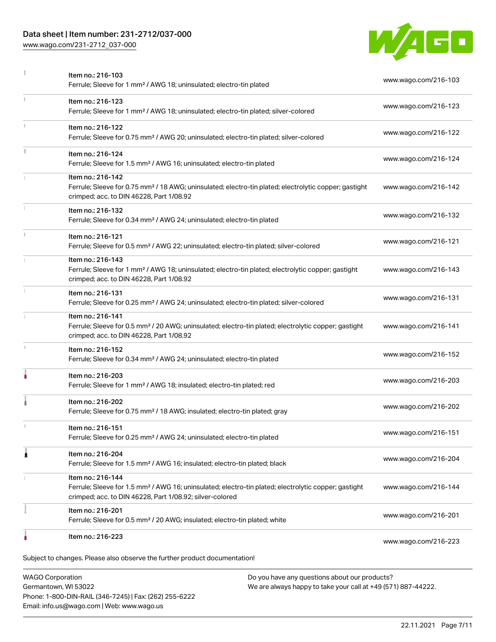## Data sheet | Item number: 231-2712/037-000

Phone: 1-800-DIN-RAIL (346-7245) | Fax: (262) 255-6222

Email: info.us@wago.com | Web: www.wago.us

[www.wago.com/231-2712\\_037-000](http://www.wago.com/231-2712_037-000)



|   | Item no.: 216-103<br>Ferrule; Sleeve for 1 mm <sup>2</sup> / AWG 18; uninsulated; electro-tin plated                                                                                              | www.wago.com/216-103                                          |
|---|---------------------------------------------------------------------------------------------------------------------------------------------------------------------------------------------------|---------------------------------------------------------------|
|   | Item no.: 216-123<br>Ferrule; Sleeve for 1 mm <sup>2</sup> / AWG 18; uninsulated; electro-tin plated; silver-colored                                                                              | www.wago.com/216-123                                          |
|   | Item no.: 216-122<br>Ferrule; Sleeve for 0.75 mm <sup>2</sup> / AWG 20; uninsulated; electro-tin plated; silver-colored                                                                           | www.wago.com/216-122                                          |
|   | Item no.: 216-124<br>Ferrule; Sleeve for 1.5 mm <sup>2</sup> / AWG 16; uninsulated; electro-tin plated                                                                                            | www.wago.com/216-124                                          |
|   | Item no.: 216-142<br>Ferrule; Sleeve for 0.75 mm <sup>2</sup> / 18 AWG; uninsulated; electro-tin plated; electrolytic copper; gastight<br>crimped; acc. to DIN 46228, Part 1/08.92                | www.wago.com/216-142                                          |
|   | Item no.: 216-132<br>Ferrule; Sleeve for 0.34 mm <sup>2</sup> / AWG 24; uninsulated; electro-tin plated                                                                                           | www.wago.com/216-132                                          |
|   | Item no.: 216-121<br>Ferrule; Sleeve for 0.5 mm <sup>2</sup> / AWG 22; uninsulated; electro-tin plated; silver-colored                                                                            | www.wago.com/216-121                                          |
|   | Item no.: 216-143<br>Ferrule; Sleeve for 1 mm <sup>2</sup> / AWG 18; uninsulated; electro-tin plated; electrolytic copper; gastight<br>crimped; acc. to DIN 46228, Part 1/08.92                   | www.wago.com/216-143                                          |
|   | Item no.: 216-131<br>Ferrule; Sleeve for 0.25 mm <sup>2</sup> / AWG 24; uninsulated; electro-tin plated; silver-colored                                                                           | www.wago.com/216-131                                          |
|   | Item no.: 216-141<br>Ferrule; Sleeve for 0.5 mm <sup>2</sup> / 20 AWG; uninsulated; electro-tin plated; electrolytic copper; gastight<br>crimped; acc. to DIN 46228, Part 1/08.92                 | www.wago.com/216-141                                          |
|   | Item no.: 216-152<br>Ferrule; Sleeve for 0.34 mm <sup>2</sup> / AWG 24; uninsulated; electro-tin plated                                                                                           | www.wago.com/216-152                                          |
|   | Item no.: 216-203<br>Ferrule; Sleeve for 1 mm <sup>2</sup> / AWG 18; insulated; electro-tin plated; red                                                                                           | www.wago.com/216-203                                          |
|   | Item no.: 216-202<br>Ferrule; Sleeve for 0.75 mm <sup>2</sup> / 18 AWG; insulated; electro-tin plated; gray                                                                                       | www.wago.com/216-202                                          |
|   | Item no.: 216-151<br>Ferrule; Sleeve for 0.25 mm <sup>2</sup> / AWG 24; uninsulated; electro-tin plated                                                                                           | www.wago.com/216-151                                          |
| 1 | Item no.: 216-204<br>Ferrule; Sleeve for 1.5 mm <sup>2</sup> / AWG 16; insulated; electro-tin plated; black                                                                                       | www.wago.com/216-204                                          |
|   | Item no.: 216-144<br>Ferrule; Sleeve for 1.5 mm <sup>2</sup> / AWG 16; uninsulated; electro-tin plated; electrolytic copper; gastight<br>crimped; acc. to DIN 46228, Part 1/08.92; silver-colored | www.wago.com/216-144                                          |
|   | Item no.: 216-201<br>Ferrule; Sleeve for 0.5 mm <sup>2</sup> / 20 AWG; insulated; electro-tin plated; white                                                                                       | www.wago.com/216-201                                          |
|   | Item no.: 216-223                                                                                                                                                                                 | www.wago.com/216-223                                          |
|   | Subject to changes. Please also observe the further product documentation!                                                                                                                        |                                                               |
|   | <b>WAGO Corporation</b><br>Do you have any questions about our products?<br>Germantown, WI 53022                                                                                                  | We are always happy to take your call at +49 (571) 887-44222. |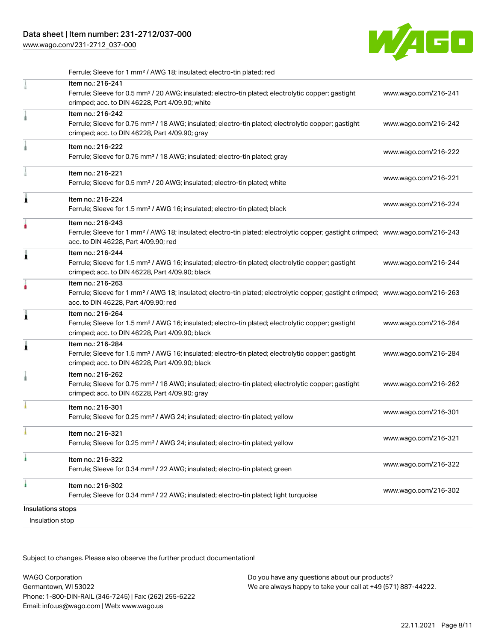[www.wago.com/231-2712\\_037-000](http://www.wago.com/231-2712_037-000)



|                   | Ferrule; Sleeve for 1 mm <sup>2</sup> / AWG 18; insulated; electro-tin plated; red                                                                                                                      |                      |
|-------------------|---------------------------------------------------------------------------------------------------------------------------------------------------------------------------------------------------------|----------------------|
|                   | Item no.: 216-241<br>Ferrule; Sleeve for 0.5 mm <sup>2</sup> / 20 AWG; insulated; electro-tin plated; electrolytic copper; gastight<br>crimped; acc. to DIN 46228, Part 4/09.90; white                  | www.wago.com/216-241 |
|                   | Item no.: 216-242<br>Ferrule; Sleeve for 0.75 mm <sup>2</sup> / 18 AWG; insulated; electro-tin plated; electrolytic copper; gastight<br>crimped; acc. to DIN 46228, Part 4/09.90; gray                  | www.wago.com/216-242 |
|                   | Item no.: 216-222<br>Ferrule; Sleeve for 0.75 mm <sup>2</sup> / 18 AWG; insulated; electro-tin plated; gray                                                                                             | www.wago.com/216-222 |
|                   | Item no.: 216-221<br>Ferrule; Sleeve for 0.5 mm <sup>2</sup> / 20 AWG; insulated; electro-tin plated; white                                                                                             | www.wago.com/216-221 |
| Ă                 | Item no.: 216-224<br>Ferrule; Sleeve for 1.5 mm <sup>2</sup> / AWG 16; insulated; electro-tin plated; black                                                                                             | www.wago.com/216-224 |
|                   | Item no.: 216-243<br>Ferrule; Sleeve for 1 mm <sup>2</sup> / AWG 18; insulated; electro-tin plated; electrolytic copper; gastight crimped; www.wago.com/216-243<br>acc. to DIN 46228, Part 4/09.90; red |                      |
| 1                 | Item no.: 216-244<br>Ferrule; Sleeve for 1.5 mm <sup>2</sup> / AWG 16; insulated; electro-tin plated; electrolytic copper; gastight<br>crimped; acc. to DIN 46228, Part 4/09.90; black                  | www.wago.com/216-244 |
|                   | Item no.: 216-263<br>Ferrule; Sleeve for 1 mm <sup>2</sup> / AWG 18; insulated; electro-tin plated; electrolytic copper; gastight crimped; www.wago.com/216-263<br>acc. to DIN 46228, Part 4/09.90; red |                      |
| Â                 | Item no.: 216-264<br>Ferrule; Sleeve for 1.5 mm <sup>2</sup> / AWG 16; insulated; electro-tin plated; electrolytic copper; gastight<br>crimped; acc. to DIN 46228, Part 4/09.90; black                  | www.wago.com/216-264 |
|                   | Item no.: 216-284<br>Ferrule; Sleeve for 1.5 mm <sup>2</sup> / AWG 16; insulated; electro-tin plated; electrolytic copper; gastight<br>crimped; acc. to DIN 46228, Part 4/09.90; black                  | www.wago.com/216-284 |
|                   | Item no.: 216-262<br>Ferrule; Sleeve for 0.75 mm <sup>2</sup> / 18 AWG; insulated; electro-tin plated; electrolytic copper; gastight<br>crimped; acc. to DIN 46228, Part 4/09.90; gray                  | www.wago.com/216-262 |
|                   | Item no.: 216-301<br>Ferrule; Sleeve for 0.25 mm <sup>2</sup> / AWG 24; insulated; electro-tin plated; yellow                                                                                           | www.wago.com/216-301 |
|                   | Item no.: 216-321<br>Ferrule; Sleeve for 0.25 mm <sup>2</sup> / AWG 24; insulated; electro-tin plated; yellow                                                                                           | www.wago.com/216-321 |
|                   | Item no.: 216-322<br>Ferrule; Sleeve for 0.34 mm <sup>2</sup> / 22 AWG; insulated; electro-tin plated; green                                                                                            | www.wago.com/216-322 |
| ٠                 | Item no.: 216-302<br>Ferrule; Sleeve for 0.34 mm <sup>2</sup> / 22 AWG; insulated; electro-tin plated; light turquoise                                                                                  | www.wago.com/216-302 |
| Insulations stops |                                                                                                                                                                                                         |                      |
|                   | Insulation stop                                                                                                                                                                                         |                      |

Subject to changes. Please also observe the further product documentation!

WAGO Corporation Germantown, WI 53022 Phone: 1-800-DIN-RAIL (346-7245) | Fax: (262) 255-6222 Email: info.us@wago.com | Web: www.wago.us Do you have any questions about our products? We are always happy to take your call at +49 (571) 887-44222.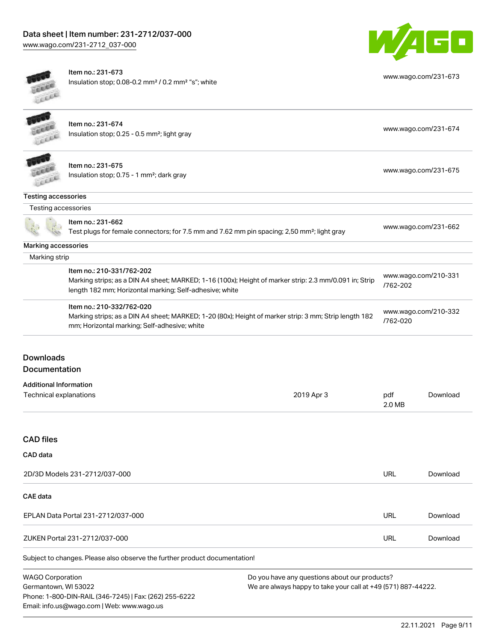

[www.wago.com/231-673](http://www.wago.com/231-673)



Item no.: 231-673 Insulation stop; 0.08-0.2 mm² / 0.2 mm² "s"; white

|                               | Item no.: 231-674<br>Insulation stop; 0.25 - 0.5 mm <sup>2</sup> ; light gray                                                                                                                  |            |               | www.wago.com/231-674 |
|-------------------------------|------------------------------------------------------------------------------------------------------------------------------------------------------------------------------------------------|------------|---------------|----------------------|
|                               | Item no.: 231-675<br>Insulation stop; 0.75 - 1 mm <sup>2</sup> ; dark gray                                                                                                                     |            |               | www.wago.com/231-675 |
| <b>Testing accessories</b>    |                                                                                                                                                                                                |            |               |                      |
| Testing accessories           |                                                                                                                                                                                                |            |               |                      |
|                               | Item no.: 231-662<br>Test plugs for female connectors; for 7.5 mm and 7.62 mm pin spacing; 2,50 mm <sup>2</sup> ; light gray                                                                   |            |               | www.wago.com/231-662 |
| <b>Marking accessories</b>    |                                                                                                                                                                                                |            |               |                      |
| Marking strip                 |                                                                                                                                                                                                |            |               |                      |
|                               | Item no.: 210-331/762-202<br>Marking strips; as a DIN A4 sheet; MARKED; 1-16 (100x); Height of marker strip: 2.3 mm/0.091 in; Strip<br>length 182 mm; Horizontal marking; Self-adhesive; white |            | /762-202      | www.wago.com/210-331 |
|                               | Item no.: 210-332/762-020<br>Marking strips; as a DIN A4 sheet; MARKED; 1-20 (80x); Height of marker strip: 3 mm; Strip length 182<br>mm; Horizontal marking; Self-adhesive; white             |            | /762-020      | www.wago.com/210-332 |
| Downloads                     |                                                                                                                                                                                                |            |               |                      |
| Documentation                 |                                                                                                                                                                                                |            |               |                      |
| <b>Additional Information</b> |                                                                                                                                                                                                |            |               |                      |
| <b>Technical explanations</b> |                                                                                                                                                                                                | 2019 Apr 3 | pdf<br>2.0 MB | Download             |

## CAD files

| CAD data                                                                          |     |          |
|-----------------------------------------------------------------------------------|-----|----------|
| 2D/3D Models 231-2712/037-000                                                     | URL | Download |
| CAE data                                                                          |     |          |
| EPLAN Data Portal 231-2712/037-000                                                | URL | Download |
| ZUKEN Portal 231-2712/037-000                                                     | URL | Download |
| Ouklast to alconomic Disponsible absolute that funtion was dust depression to the |     |          |

Subject to changes. Please also observe the further product documentation!

WAGO Corporation Germantown, WI 53022 Phone: 1-800-DIN-RAIL (346-7245) | Fax: (262) 255-6222 Email: info.us@wago.com | Web: www.wago.us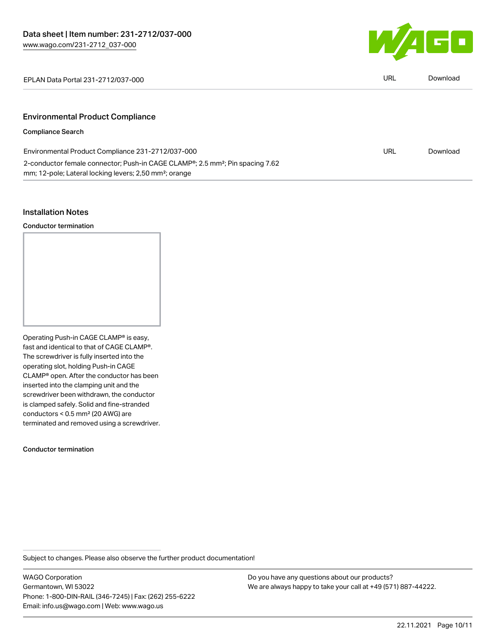

EPLAN Data Portal 231-2712/037-000 URL [Download](https://www.wago.com/global/d/EPLAN_URLS_231-2712_037-000)

## Environmental Product Compliance

## Compliance Search

| Environmental Product Compliance 231-2712/037-000                                                      | URL | Download |
|--------------------------------------------------------------------------------------------------------|-----|----------|
| 2-conductor female connector; Push-in CAGE CLAMP <sup>®</sup> ; 2.5 mm <sup>2</sup> ; Pin spacing 7.62 |     |          |
| mm; 12-pole; Lateral locking levers; 2,50 mm <sup>2</sup> ; orange                                     |     |          |

#### Installation Notes

Conductor termination

Operating Push-in CAGE CLAMP® is easy, fast and identical to that of CAGE CLAMP®. The screwdriver is fully inserted into the operating slot, holding Push-in CAGE CLAMP® open. After the conductor has been inserted into the clamping unit and the screwdriver been withdrawn, the conductor is clamped safely. Solid and fine-stranded conductors < 0.5 mm² (20 AWG) are terminated and removed using a screwdriver.

#### Conductor termination

Subject to changes. Please also observe the further product documentation!

WAGO Corporation Germantown, WI 53022 Phone: 1-800-DIN-RAIL (346-7245) | Fax: (262) 255-6222 Email: info.us@wago.com | Web: www.wago.us